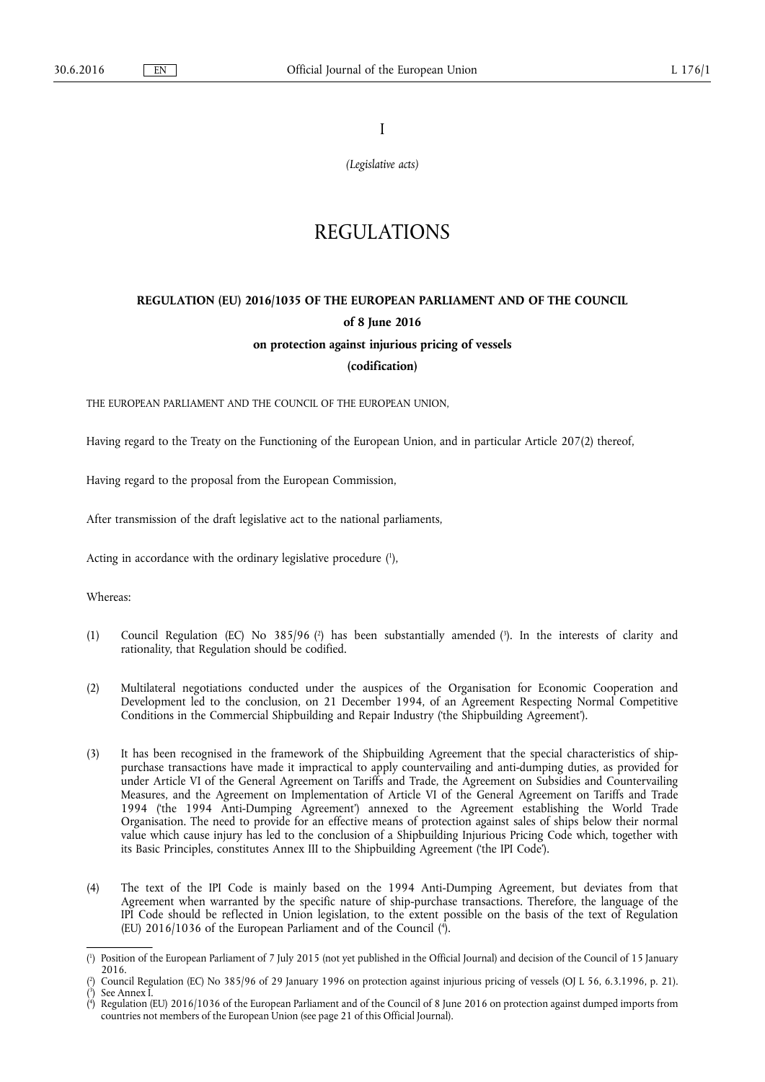I

*(Legislative acts)* 

# REGULATIONS

# **REGULATION (EU) 2016/1035 OF THE EUROPEAN PARLIAMENT AND OF THE COUNCIL of 8 June 2016 on protection against injurious pricing of vessels**

**(codification)** 

THE EUROPEAN PARLIAMENT AND THE COUNCIL OF THE EUROPEAN UNION,

Having regard to the Treaty on the Functioning of the European Union, and in particular Article 207(2) thereof,

Having regard to the proposal from the European Commission,

After transmission of the draft legislative act to the national parliaments,

Acting in accordance with the ordinary legislative procedure ( 1 ),

Whereas:

- (1) Council Regulation (EC) No 385/96 (<sup>2</sup>) has been substantially amended (<sup>3</sup>). In the interests of clarity and rationality, that Regulation should be codified.
- (2) Multilateral negotiations conducted under the auspices of the Organisation for Economic Cooperation and Development led to the conclusion, on 21 December 1994, of an Agreement Respecting Normal Competitive Conditions in the Commercial Shipbuilding and Repair Industry ('the Shipbuilding Agreement').
- (3) It has been recognised in the framework of the Shipbuilding Agreement that the special characteristics of shippurchase transactions have made it impractical to apply countervailing and anti-dumping duties, as provided for under Article VI of the General Agreement on Tariffs and Trade, the Agreement on Subsidies and Countervailing Measures, and the Agreement on Implementation of Article VI of the General Agreement on Tariffs and Trade 1994 ('the 1994 Anti-Dumping Agreement') annexed to the Agreement establishing the World Trade Organisation. The need to provide for an effective means of protection against sales of ships below their normal value which cause injury has led to the conclusion of a Shipbuilding Injurious Pricing Code which, together with its Basic Principles, constitutes Annex III to the Shipbuilding Agreement ('the IPI Code').
- (4) The text of the IPI Code is mainly based on the 1994 Anti-Dumping Agreement, but deviates from that Agreement when warranted by the specific nature of ship-purchase transactions. Therefore, the language of the IPI Code should be reflected in Union legislation, to the extent possible on the basis of the text of Regulation (EU) 2016/1036 of the European Parliament and of the Council ( 4 ).

<sup>(</sup> 1 ) Position of the European Parliament of 7 July 2015 (not yet published in the Official Journal) and decision of the Council of 15 January 2016.

<sup>(</sup> 2 ) Council Regulation (EC) No 385/96 of 29 January 1996 on protection against injurious pricing of vessels (OJ L 56, 6.3.1996, p. 21). ( 3 ) See Annex I.

<sup>(</sup> 4 ) Regulation (EU) 2016/1036 of the European Parliament and of the Council of 8 June 2016 on protection against dumped imports from countries not members of the European Union (see page 21 of this Official Journal).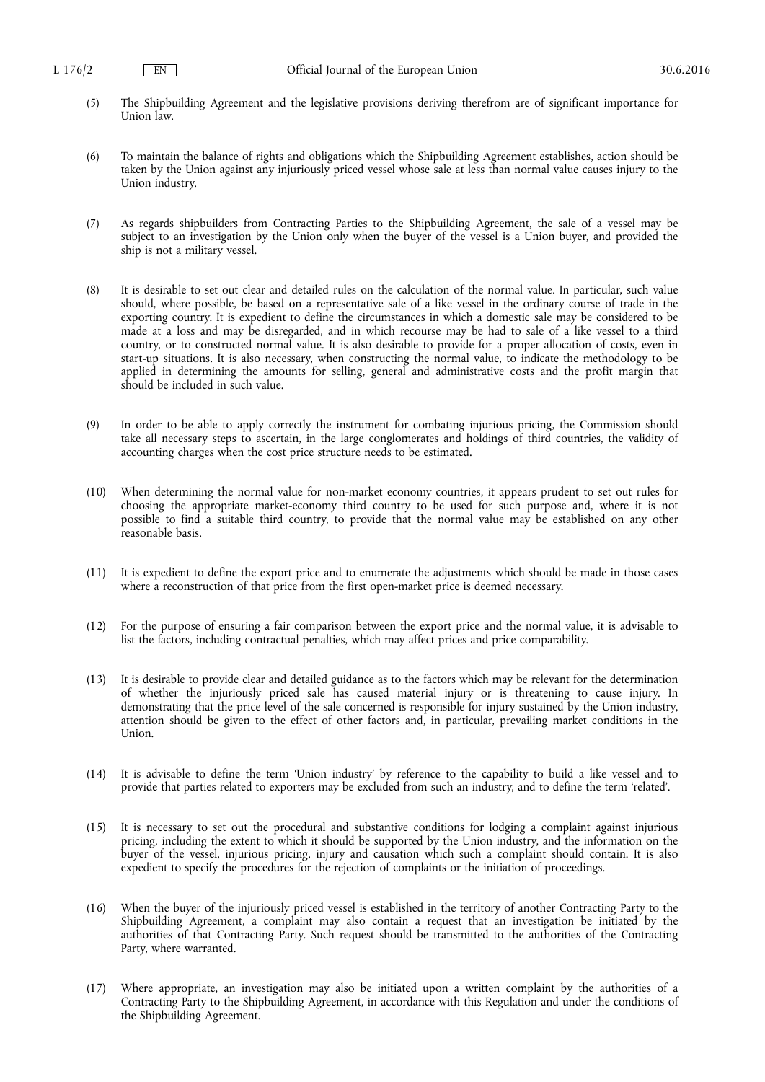- (5) The Shipbuilding Agreement and the legislative provisions deriving therefrom are of significant importance for Union law.
- (6) To maintain the balance of rights and obligations which the Shipbuilding Agreement establishes, action should be taken by the Union against any injuriously priced vessel whose sale at less than normal value causes injury to the Union industry.
- (7) As regards shipbuilders from Contracting Parties to the Shipbuilding Agreement, the sale of a vessel may be subject to an investigation by the Union only when the buyer of the vessel is a Union buyer, and provided the ship is not a military vessel.
- (8) It is desirable to set out clear and detailed rules on the calculation of the normal value. In particular, such value should, where possible, be based on a representative sale of a like vessel in the ordinary course of trade in the exporting country. It is expedient to define the circumstances in which a domestic sale may be considered to be made at a loss and may be disregarded, and in which recourse may be had to sale of a like vessel to a third country, or to constructed normal value. It is also desirable to provide for a proper allocation of costs, even in start-up situations. It is also necessary, when constructing the normal value, to indicate the methodology to be applied in determining the amounts for selling, general and administrative costs and the profit margin that should be included in such value.
- (9) In order to be able to apply correctly the instrument for combating injurious pricing, the Commission should take all necessary steps to ascertain, in the large conglomerates and holdings of third countries, the validity of accounting charges when the cost price structure needs to be estimated.
- (10) When determining the normal value for non-market economy countries, it appears prudent to set out rules for choosing the appropriate market-economy third country to be used for such purpose and, where it is not possible to find a suitable third country, to provide that the normal value may be established on any other reasonable basis.
- (11) It is expedient to define the export price and to enumerate the adjustments which should be made in those cases where a reconstruction of that price from the first open-market price is deemed necessary.
- (12) For the purpose of ensuring a fair comparison between the export price and the normal value, it is advisable to list the factors, including contractual penalties, which may affect prices and price comparability.
- (13) It is desirable to provide clear and detailed guidance as to the factors which may be relevant for the determination of whether the injuriously priced sale has caused material injury or is threatening to cause injury. In demonstrating that the price level of the sale concerned is responsible for injury sustained by the Union industry, attention should be given to the effect of other factors and, in particular, prevailing market conditions in the Union.
- (14) It is advisable to define the term 'Union industry' by reference to the capability to build a like vessel and to provide that parties related to exporters may be excluded from such an industry, and to define the term 'related'.
- (15) It is necessary to set out the procedural and substantive conditions for lodging a complaint against injurious pricing, including the extent to which it should be supported by the Union industry, and the information on the buyer of the vessel, injurious pricing, injury and causation which such a complaint should contain. It is also expedient to specify the procedures for the rejection of complaints or the initiation of proceedings.
- (16) When the buyer of the injuriously priced vessel is established in the territory of another Contracting Party to the Shipbuilding Agreement, a complaint may also contain a request that an investigation be initiated by the authorities of that Contracting Party. Such request should be transmitted to the authorities of the Contracting Party, where warranted.
- (17) Where appropriate, an investigation may also be initiated upon a written complaint by the authorities of a Contracting Party to the Shipbuilding Agreement, in accordance with this Regulation and under the conditions of the Shipbuilding Agreement.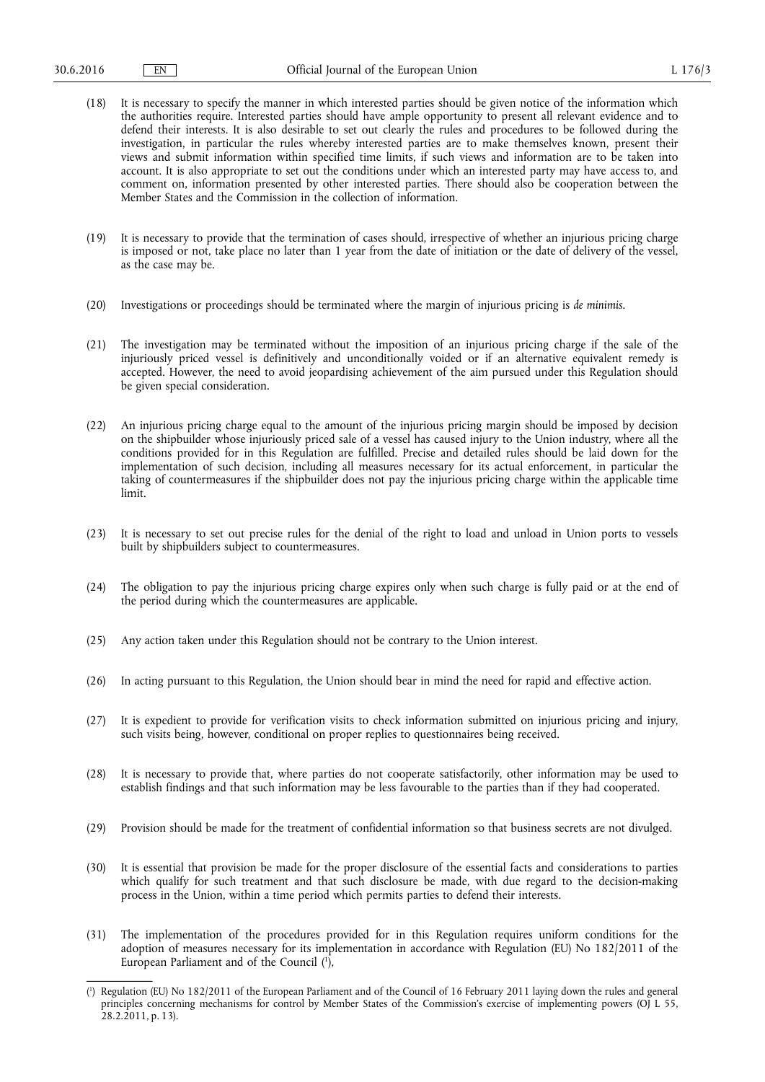- (18) It is necessary to specify the manner in which interested parties should be given notice of the information which the authorities require. Interested parties should have ample opportunity to present all relevant evidence and to defend their interests. It is also desirable to set out clearly the rules and procedures to be followed during the investigation, in particular the rules whereby interested parties are to make themselves known, present their views and submit information within specified time limits, if such views and information are to be taken into account. It is also appropriate to set out the conditions under which an interested party may have access to, and comment on, information presented by other interested parties. There should also be cooperation between the Member States and the Commission in the collection of information.
- (19) It is necessary to provide that the termination of cases should, irrespective of whether an injurious pricing charge is imposed or not, take place no later than 1 year from the date of initiation or the date of delivery of the vessel, as the case may be.
- (20) Investigations or proceedings should be terminated where the margin of injurious pricing is *de minimis*.
- (21) The investigation may be terminated without the imposition of an injurious pricing charge if the sale of the injuriously priced vessel is definitively and unconditionally voided or if an alternative equivalent remedy is accepted. However, the need to avoid jeopardising achievement of the aim pursued under this Regulation should be given special consideration.
- (22) An injurious pricing charge equal to the amount of the injurious pricing margin should be imposed by decision on the shipbuilder whose injuriously priced sale of a vessel has caused injury to the Union industry, where all the conditions provided for in this Regulation are fulfilled. Precise and detailed rules should be laid down for the implementation of such decision, including all measures necessary for its actual enforcement, in particular the taking of countermeasures if the shipbuilder does not pay the injurious pricing charge within the applicable time limit.
- (23) It is necessary to set out precise rules for the denial of the right to load and unload in Union ports to vessels built by shipbuilders subject to countermeasures.
- (24) The obligation to pay the injurious pricing charge expires only when such charge is fully paid or at the end of the period during which the countermeasures are applicable.
- (25) Any action taken under this Regulation should not be contrary to the Union interest.
- (26) In acting pursuant to this Regulation, the Union should bear in mind the need for rapid and effective action.
- (27) It is expedient to provide for verification visits to check information submitted on injurious pricing and injury, such visits being, however, conditional on proper replies to questionnaires being received.
- (28) It is necessary to provide that, where parties do not cooperate satisfactorily, other information may be used to establish findings and that such information may be less favourable to the parties than if they had cooperated.
- (29) Provision should be made for the treatment of confidential information so that business secrets are not divulged.
- (30) It is essential that provision be made for the proper disclosure of the essential facts and considerations to parties which qualify for such treatment and that such disclosure be made, with due regard to the decision-making process in the Union, within a time period which permits parties to defend their interests.
- (31) The implementation of the procedures provided for in this Regulation requires uniform conditions for the adoption of measures necessary for its implementation in accordance with Regulation (EU) No 182/2011 of the European Parliament and of the Council ( 1 ),

<sup>(</sup> 1 ) Regulation (EU) No 182/2011 of the European Parliament and of the Council of 16 February 2011 laying down the rules and general principles concerning mechanisms for control by Member States of the Commission's exercise of implementing powers (OJ L 55, 28.2.2011, p. 13).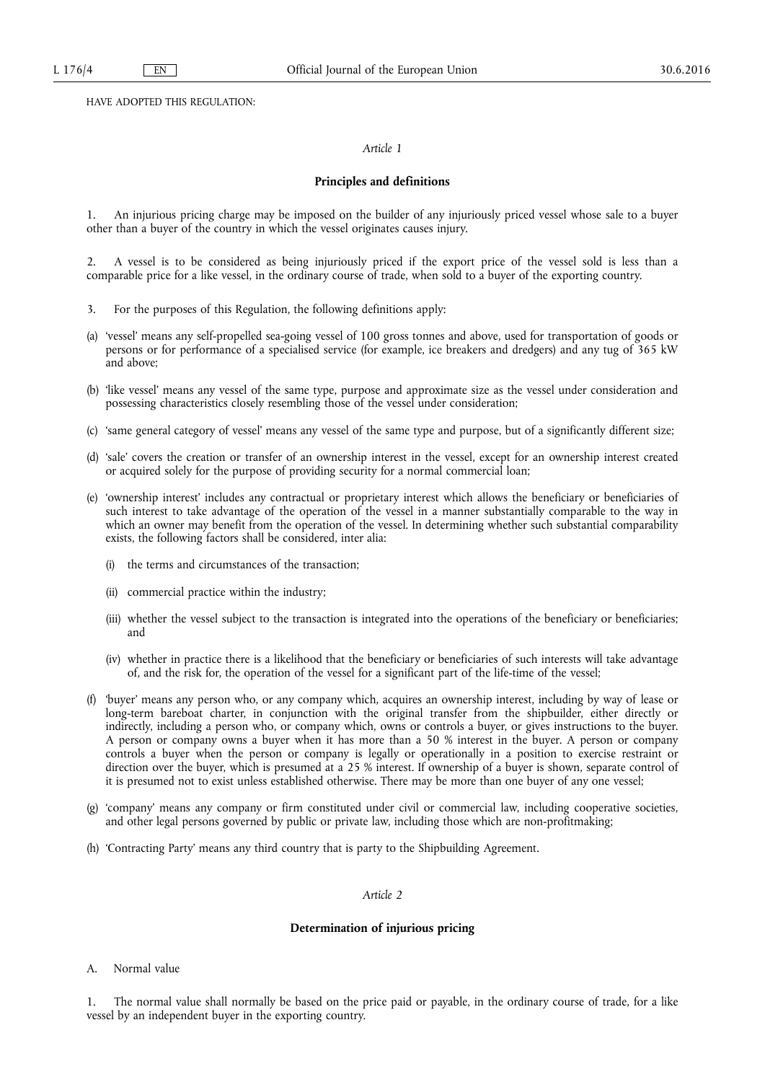HAVE ADOPTED THIS REGULATION:

# *Article 1*

# **Principles and definitions**

1. An injurious pricing charge may be imposed on the builder of any injuriously priced vessel whose sale to a buyer other than a buyer of the country in which the vessel originates causes injury.

2. A vessel is to be considered as being injuriously priced if the export price of the vessel sold is less than a comparable price for a like vessel, in the ordinary course of trade, when sold to a buyer of the exporting country.

- 3. For the purposes of this Regulation, the following definitions apply:
- (a) 'vessel' means any self-propelled sea-going vessel of 100 gross tonnes and above, used for transportation of goods or persons or for performance of a specialised service (for example, ice breakers and dredgers) and any tug of 365 kW and above;
- (b) 'like vessel' means any vessel of the same type, purpose and approximate size as the vessel under consideration and possessing characteristics closely resembling those of the vessel under consideration;
- (c) 'same general category of vessel' means any vessel of the same type and purpose, but of a significantly different size;
- (d) 'sale' covers the creation or transfer of an ownership interest in the vessel, except for an ownership interest created or acquired solely for the purpose of providing security for a normal commercial loan;
- (e) 'ownership interest' includes any contractual or proprietary interest which allows the beneficiary or beneficiaries of such interest to take advantage of the operation of the vessel in a manner substantially comparable to the way in which an owner may benefit from the operation of the vessel. In determining whether such substantial comparability exists, the following factors shall be considered, inter alia:
	- the terms and circumstances of the transaction;
	- (ii) commercial practice within the industry;
	- (iii) whether the vessel subject to the transaction is integrated into the operations of the beneficiary or beneficiaries; and
	- (iv) whether in practice there is a likelihood that the beneficiary or beneficiaries of such interests will take advantage of, and the risk for, the operation of the vessel for a significant part of the life-time of the vessel;
- (f) 'buyer' means any person who, or any company which, acquires an ownership interest, including by way of lease or long-term bareboat charter, in conjunction with the original transfer from the shipbuilder, either directly or indirectly, including a person who, or company which, owns or controls a buyer, or gives instructions to the buyer. A person or company owns a buyer when it has more than a 50 % interest in the buyer. A person or company controls a buyer when the person or company is legally or operationally in a position to exercise restraint or direction over the buyer, which is presumed at a 25 % interest. If ownership of a buyer is shown, separate control of it is presumed not to exist unless established otherwise. There may be more than one buyer of any one vessel;
- (g) 'company' means any company or firm constituted under civil or commercial law, including cooperative societies, and other legal persons governed by public or private law, including those which are non-profitmaking;
- (h) 'Contracting Party' means any third country that is party to the Shipbuilding Agreement.

# *Article 2*

#### **Determination of injurious pricing**

A. Normal value

1. The normal value shall normally be based on the price paid or payable, in the ordinary course of trade, for a like vessel by an independent buyer in the exporting country.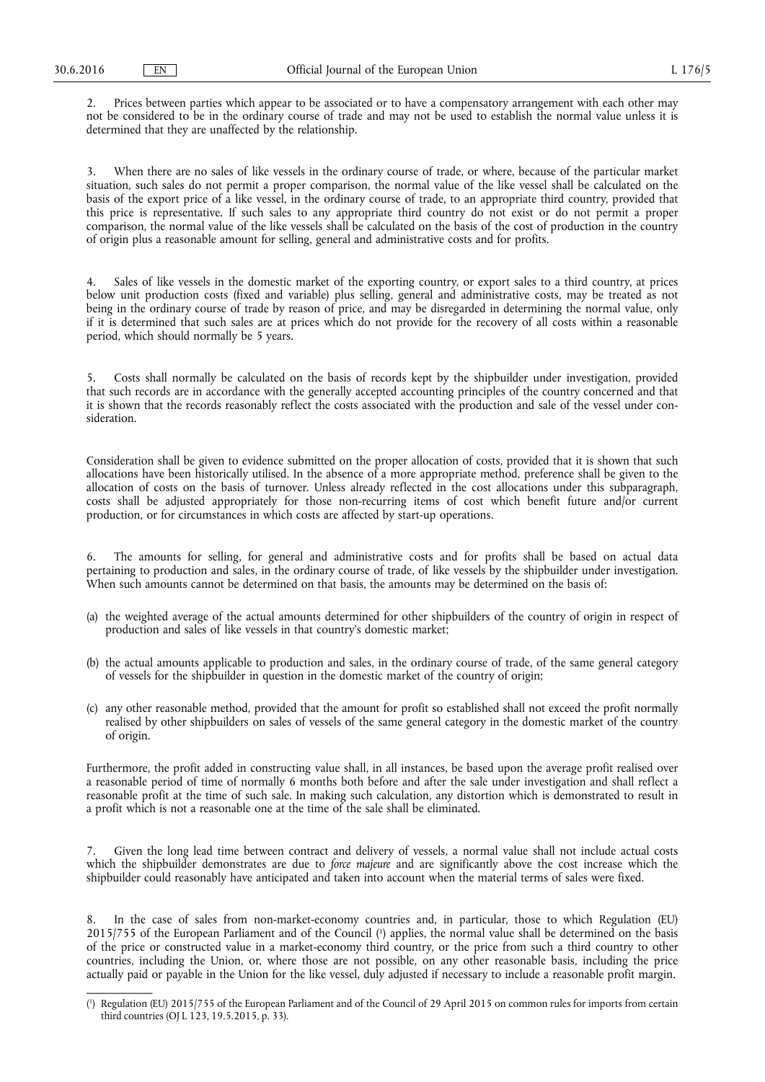2. Prices between parties which appear to be associated or to have a compensatory arrangement with each other may not be considered to be in the ordinary course of trade and may not be used to establish the normal value unless it is determined that they are unaffected by the relationship.

3. When there are no sales of like vessels in the ordinary course of trade, or where, because of the particular market situation, such sales do not permit a proper comparison, the normal value of the like vessel shall be calculated on the basis of the export price of a like vessel, in the ordinary course of trade, to an appropriate third country, provided that this price is representative. If such sales to any appropriate third country do not exist or do not permit a proper comparison, the normal value of the like vessels shall be calculated on the basis of the cost of production in the country of origin plus a reasonable amount for selling, general and administrative costs and for profits.

4. Sales of like vessels in the domestic market of the exporting country, or export sales to a third country, at prices below unit production costs (fixed and variable) plus selling, general and administrative costs, may be treated as not being in the ordinary course of trade by reason of price, and may be disregarded in determining the normal value, only if it is determined that such sales are at prices which do not provide for the recovery of all costs within a reasonable period, which should normally be 5 years.

5. Costs shall normally be calculated on the basis of records kept by the shipbuilder under investigation, provided that such records are in accordance with the generally accepted accounting principles of the country concerned and that it is shown that the records reasonably reflect the costs associated with the production and sale of the vessel under consideration.

Consideration shall be given to evidence submitted on the proper allocation of costs, provided that it is shown that such allocations have been historically utilised. In the absence of a more appropriate method, preference shall be given to the allocation of costs on the basis of turnover. Unless already reflected in the cost allocations under this subparagraph, costs shall be adjusted appropriately for those non-recurring items of cost which benefit future and/or current production, or for circumstances in which costs are affected by start-up operations.

6. The amounts for selling, for general and administrative costs and for profits shall be based on actual data pertaining to production and sales, in the ordinary course of trade, of like vessels by the shipbuilder under investigation. When such amounts cannot be determined on that basis, the amounts may be determined on the basis of:

- (a) the weighted average of the actual amounts determined for other shipbuilders of the country of origin in respect of production and sales of like vessels in that country's domestic market;
- (b) the actual amounts applicable to production and sales, in the ordinary course of trade, of the same general category of vessels for the shipbuilder in question in the domestic market of the country of origin;
- (c) any other reasonable method, provided that the amount for profit so established shall not exceed the profit normally realised by other shipbuilders on sales of vessels of the same general category in the domestic market of the country of origin.

Furthermore, the profit added in constructing value shall, in all instances, be based upon the average profit realised over a reasonable period of time of normally 6 months both before and after the sale under investigation and shall reflect a reasonable profit at the time of such sale. In making such calculation, any distortion which is demonstrated to result in a profit which is not a reasonable one at the time of the sale shall be eliminated.

Given the long lead time between contract and delivery of vessels, a normal value shall not include actual costs which the shipbuilder demonstrates are due to *force majeure* and are significantly above the cost increase which the shipbuilder could reasonably have anticipated and taken into account when the material terms of sales were fixed.

In the case of sales from non-market-economy countries and, in particular, those to which Regulation (EU) 2015/755 of the European Parliament and of the Council ( 1 ) applies, the normal value shall be determined on the basis of the price or constructed value in a market-economy third country, or the price from such a third country to other countries, including the Union, or, where those are not possible, on any other reasonable basis, including the price actually paid or payable in the Union for the like vessel, duly adjusted if necessary to include a reasonable profit margin.

<sup>(</sup> 1 ) Regulation (EU) 2015/755 of the European Parliament and of the Council of 29 April 2015 on common rules for imports from certain third countries (OJ L 123, 19.5.2015, p. 33).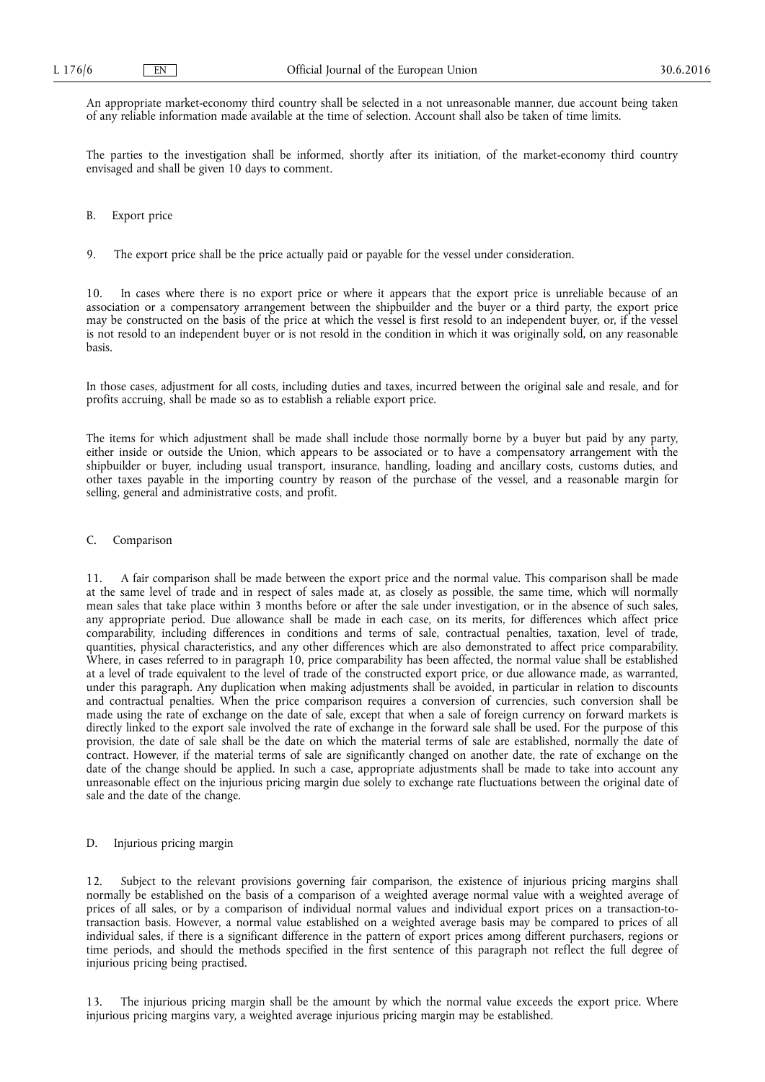An appropriate market-economy third country shall be selected in a not unreasonable manner, due account being taken of any reliable information made available at the time of selection. Account shall also be taken of time limits.

The parties to the investigation shall be informed, shortly after its initiation, of the market-economy third country envisaged and shall be given 10 days to comment.

#### B. Export price

9. The export price shall be the price actually paid or payable for the vessel under consideration.

10. In cases where there is no export price or where it appears that the export price is unreliable because of an association or a compensatory arrangement between the shipbuilder and the buyer or a third party, the export price may be constructed on the basis of the price at which the vessel is first resold to an independent buyer, or, if the vessel is not resold to an independent buyer or is not resold in the condition in which it was originally sold, on any reasonable basis.

In those cases, adjustment for all costs, including duties and taxes, incurred between the original sale and resale, and for profits accruing, shall be made so as to establish a reliable export price.

The items for which adjustment shall be made shall include those normally borne by a buyer but paid by any party, either inside or outside the Union, which appears to be associated or to have a compensatory arrangement with the shipbuilder or buyer, including usual transport, insurance, handling, loading and ancillary costs, customs duties, and other taxes payable in the importing country by reason of the purchase of the vessel, and a reasonable margin for selling, general and administrative costs, and profit.

# C. Comparison

11. A fair comparison shall be made between the export price and the normal value. This comparison shall be made at the same level of trade and in respect of sales made at, as closely as possible, the same time, which will normally mean sales that take place within 3 months before or after the sale under investigation, or in the absence of such sales, any appropriate period. Due allowance shall be made in each case, on its merits, for differences which affect price comparability, including differences in conditions and terms of sale, contractual penalties, taxation, level of trade, quantities, physical characteristics, and any other differences which are also demonstrated to affect price comparability. Where, in cases referred to in paragraph 10, price comparability has been affected, the normal value shall be established at a level of trade equivalent to the level of trade of the constructed export price, or due allowance made, as warranted, under this paragraph. Any duplication when making adjustments shall be avoided, in particular in relation to discounts and contractual penalties. When the price comparison requires a conversion of currencies, such conversion shall be made using the rate of exchange on the date of sale, except that when a sale of foreign currency on forward markets is directly linked to the export sale involved the rate of exchange in the forward sale shall be used. For the purpose of this provision, the date of sale shall be the date on which the material terms of sale are established, normally the date of contract. However, if the material terms of sale are significantly changed on another date, the rate of exchange on the date of the change should be applied. In such a case, appropriate adjustments shall be made to take into account any unreasonable effect on the injurious pricing margin due solely to exchange rate fluctuations between the original date of sale and the date of the change.

#### D. Injurious pricing margin

12. Subject to the relevant provisions governing fair comparison, the existence of injurious pricing margins shall normally be established on the basis of a comparison of a weighted average normal value with a weighted average of prices of all sales, or by a comparison of individual normal values and individual export prices on a transaction-totransaction basis. However, a normal value established on a weighted average basis may be compared to prices of all individual sales, if there is a significant difference in the pattern of export prices among different purchasers, regions or time periods, and should the methods specified in the first sentence of this paragraph not reflect the full degree of injurious pricing being practised.

The injurious pricing margin shall be the amount by which the normal value exceeds the export price. Where injurious pricing margins vary, a weighted average injurious pricing margin may be established.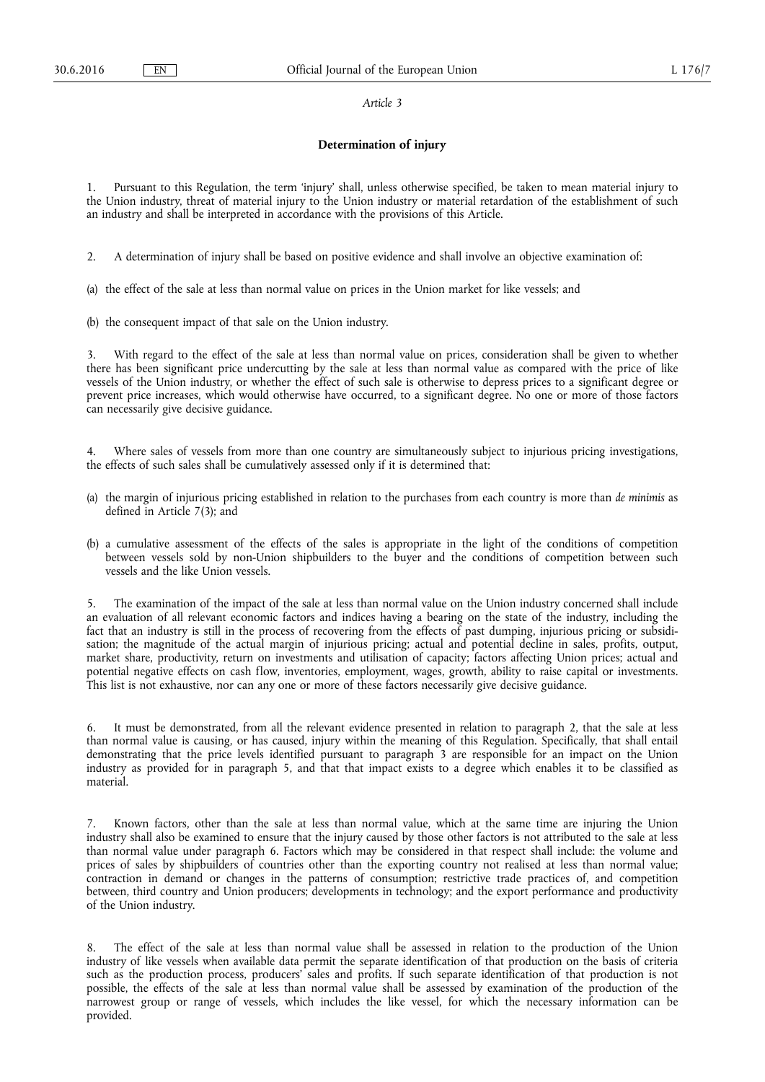#### *Article 3*

#### **Determination of injury**

1. Pursuant to this Regulation, the term 'injury' shall, unless otherwise specified, be taken to mean material injury to the Union industry, threat of material injury to the Union industry or material retardation of the establishment of such an industry and shall be interpreted in accordance with the provisions of this Article.

2. A determination of injury shall be based on positive evidence and shall involve an objective examination of:

(a) the effect of the sale at less than normal value on prices in the Union market for like vessels; and

(b) the consequent impact of that sale on the Union industry.

3. With regard to the effect of the sale at less than normal value on prices, consideration shall be given to whether there has been significant price undercutting by the sale at less than normal value as compared with the price of like vessels of the Union industry, or whether the effect of such sale is otherwise to depress prices to a significant degree or prevent price increases, which would otherwise have occurred, to a significant degree. No one or more of those factors can necessarily give decisive guidance.

Where sales of vessels from more than one country are simultaneously subject to injurious pricing investigations, the effects of such sales shall be cumulatively assessed only if it is determined that:

- (a) the margin of injurious pricing established in relation to the purchases from each country is more than *de minimis* as defined in Article 7(3); and
- (b) a cumulative assessment of the effects of the sales is appropriate in the light of the conditions of competition between vessels sold by non-Union shipbuilders to the buyer and the conditions of competition between such vessels and the like Union vessels.

5. The examination of the impact of the sale at less than normal value on the Union industry concerned shall include an evaluation of all relevant economic factors and indices having a bearing on the state of the industry, including the fact that an industry is still in the process of recovering from the effects of past dumping, injurious pricing or subsidisation; the magnitude of the actual margin of injurious pricing; actual and potential decline in sales, profits, output, market share, productivity, return on investments and utilisation of capacity; factors affecting Union prices; actual and potential negative effects on cash flow, inventories, employment, wages, growth, ability to raise capital or investments. This list is not exhaustive, nor can any one or more of these factors necessarily give decisive guidance.

6. It must be demonstrated, from all the relevant evidence presented in relation to paragraph 2, that the sale at less than normal value is causing, or has caused, injury within the meaning of this Regulation. Specifically, that shall entail demonstrating that the price levels identified pursuant to paragraph 3 are responsible for an impact on the Union industry as provided for in paragraph 5, and that that impact exists to a degree which enables it to be classified as material.

7. Known factors, other than the sale at less than normal value, which at the same time are injuring the Union industry shall also be examined to ensure that the injury caused by those other factors is not attributed to the sale at less than normal value under paragraph 6. Factors which may be considered in that respect shall include: the volume and prices of sales by shipbuilders of countries other than the exporting country not realised at less than normal value; contraction in demand or changes in the patterns of consumption; restrictive trade practices of, and competition between, third country and Union producers; developments in technology; and the export performance and productivity of the Union industry.

The effect of the sale at less than normal value shall be assessed in relation to the production of the Union industry of like vessels when available data permit the separate identification of that production on the basis of criteria such as the production process, producers' sales and profits. If such separate identification of that production is not possible, the effects of the sale at less than normal value shall be assessed by examination of the production of the narrowest group or range of vessels, which includes the like vessel, for which the necessary information can be provided.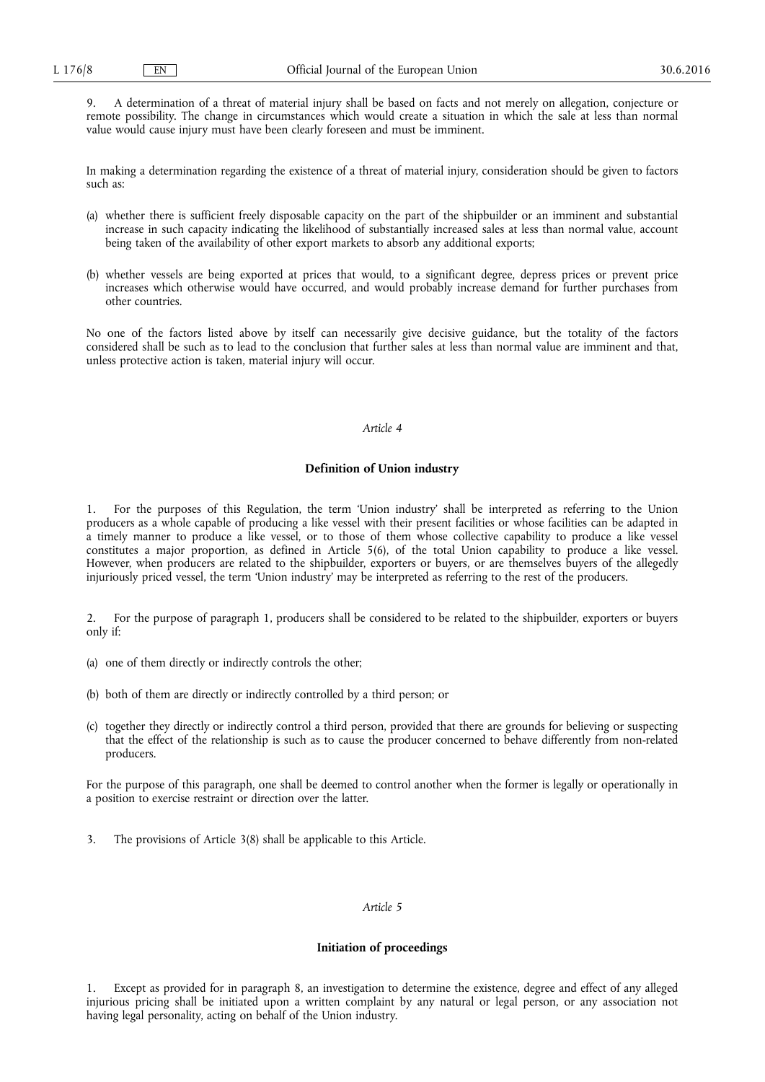9. A determination of a threat of material injury shall be based on facts and not merely on allegation, conjecture or remote possibility. The change in circumstances which would create a situation in which the sale at less than normal value would cause injury must have been clearly foreseen and must be imminent.

In making a determination regarding the existence of a threat of material injury, consideration should be given to factors such as:

- (a) whether there is sufficient freely disposable capacity on the part of the shipbuilder or an imminent and substantial increase in such capacity indicating the likelihood of substantially increased sales at less than normal value, account being taken of the availability of other export markets to absorb any additional exports;
- (b) whether vessels are being exported at prices that would, to a significant degree, depress prices or prevent price increases which otherwise would have occurred, and would probably increase demand for further purchases from other countries.

No one of the factors listed above by itself can necessarily give decisive guidance, but the totality of the factors considered shall be such as to lead to the conclusion that further sales at less than normal value are imminent and that, unless protective action is taken, material injury will occur.

# *Article 4*

# **Definition of Union industry**

1. For the purposes of this Regulation, the term 'Union industry' shall be interpreted as referring to the Union producers as a whole capable of producing a like vessel with their present facilities or whose facilities can be adapted in a timely manner to produce a like vessel, or to those of them whose collective capability to produce a like vessel constitutes a major proportion, as defined in Article 5(6), of the total Union capability to produce a like vessel. However, when producers are related to the shipbuilder, exporters or buyers, or are themselves buyers of the allegedly injuriously priced vessel, the term 'Union industry' may be interpreted as referring to the rest of the producers.

2. For the purpose of paragraph 1, producers shall be considered to be related to the shipbuilder, exporters or buyers only if:

- (a) one of them directly or indirectly controls the other;
- (b) both of them are directly or indirectly controlled by a third person; or
- (c) together they directly or indirectly control a third person, provided that there are grounds for believing or suspecting that the effect of the relationship is such as to cause the producer concerned to behave differently from non-related producers.

For the purpose of this paragraph, one shall be deemed to control another when the former is legally or operationally in a position to exercise restraint or direction over the latter.

3. The provisions of Article 3(8) shall be applicable to this Article.

# *Article 5*

#### **Initiation of proceedings**

1. Except as provided for in paragraph 8, an investigation to determine the existence, degree and effect of any alleged injurious pricing shall be initiated upon a written complaint by any natural or legal person, or any association not having legal personality, acting on behalf of the Union industry.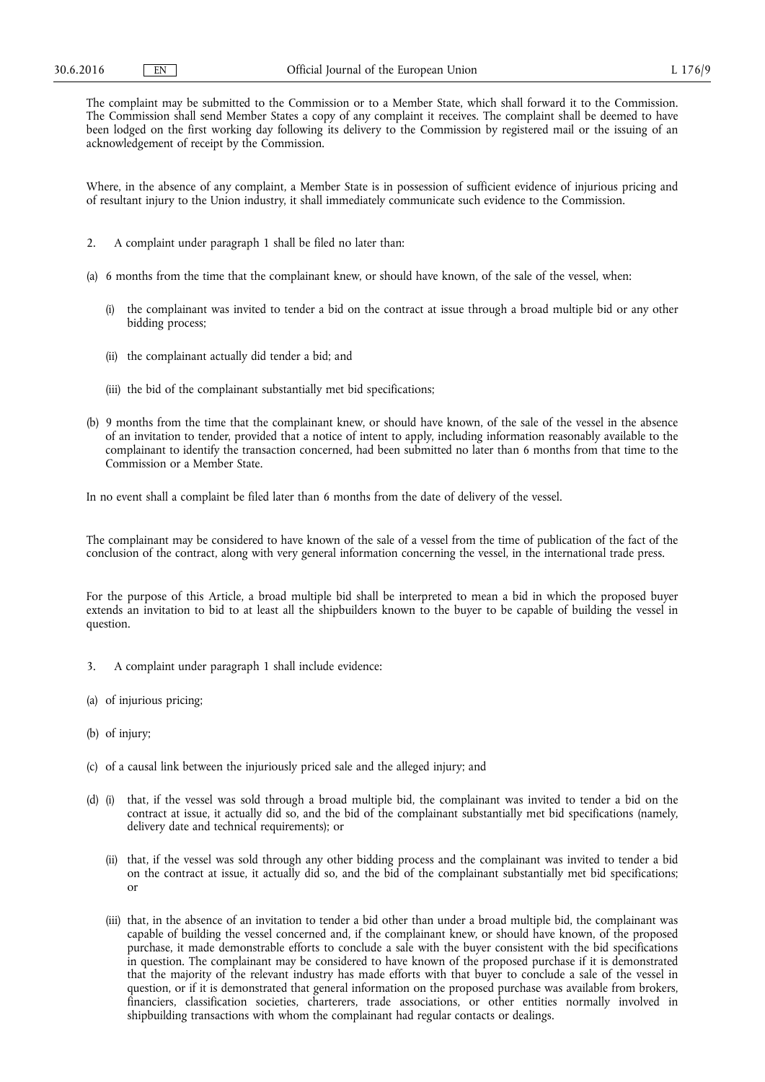The complaint may be submitted to the Commission or to a Member State, which shall forward it to the Commission. The Commission shall send Member States a copy of any complaint it receives. The complaint shall be deemed to have been lodged on the first working day following its delivery to the Commission by registered mail or the issuing of an acknowledgement of receipt by the Commission.

Where, in the absence of any complaint, a Member State is in possession of sufficient evidence of injurious pricing and of resultant injury to the Union industry, it shall immediately communicate such evidence to the Commission.

- 2. A complaint under paragraph 1 shall be filed no later than:
- (a) 6 months from the time that the complainant knew, or should have known, of the sale of the vessel, when:
	- (i) the complainant was invited to tender a bid on the contract at issue through a broad multiple bid or any other bidding process;
	- (ii) the complainant actually did tender a bid; and
	- (iii) the bid of the complainant substantially met bid specifications;
- (b) 9 months from the time that the complainant knew, or should have known, of the sale of the vessel in the absence of an invitation to tender, provided that a notice of intent to apply, including information reasonably available to the complainant to identify the transaction concerned, had been submitted no later than 6 months from that time to the Commission or a Member State.

In no event shall a complaint be filed later than 6 months from the date of delivery of the vessel.

The complainant may be considered to have known of the sale of a vessel from the time of publication of the fact of the conclusion of the contract, along with very general information concerning the vessel, in the international trade press.

For the purpose of this Article, a broad multiple bid shall be interpreted to mean a bid in which the proposed buyer extends an invitation to bid to at least all the shipbuilders known to the buyer to be capable of building the vessel in question.

- 3. A complaint under paragraph 1 shall include evidence:
- (a) of injurious pricing;
- (b) of injury;
- (c) of a causal link between the injuriously priced sale and the alleged injury; and
- (d) (i) that, if the vessel was sold through a broad multiple bid, the complainant was invited to tender a bid on the contract at issue, it actually did so, and the bid of the complainant substantially met bid specifications (namely, delivery date and technical requirements); or
	- (ii) that, if the vessel was sold through any other bidding process and the complainant was invited to tender a bid on the contract at issue, it actually did so, and the bid of the complainant substantially met bid specifications; or
	- (iii) that, in the absence of an invitation to tender a bid other than under a broad multiple bid, the complainant was capable of building the vessel concerned and, if the complainant knew, or should have known, of the proposed purchase, it made demonstrable efforts to conclude a sale with the buyer consistent with the bid specifications in question. The complainant may be considered to have known of the proposed purchase if it is demonstrated that the majority of the relevant industry has made efforts with that buyer to conclude a sale of the vessel in question, or if it is demonstrated that general information on the proposed purchase was available from brokers, financiers, classification societies, charterers, trade associations, or other entities normally involved in shipbuilding transactions with whom the complainant had regular contacts or dealings.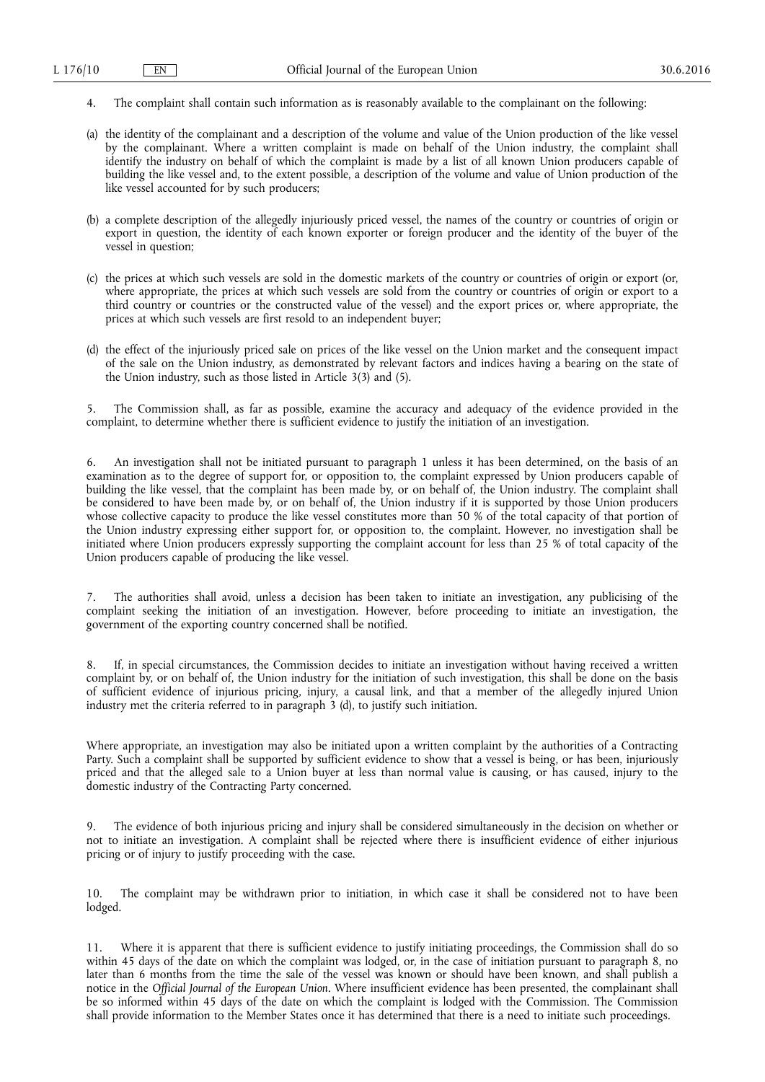- 4. The complaint shall contain such information as is reasonably available to the complainant on the following:
- (a) the identity of the complainant and a description of the volume and value of the Union production of the like vessel by the complainant. Where a written complaint is made on behalf of the Union industry, the complaint shall identify the industry on behalf of which the complaint is made by a list of all known Union producers capable of building the like vessel and, to the extent possible, a description of the volume and value of Union production of the like vessel accounted for by such producers;
- (b) a complete description of the allegedly injuriously priced vessel, the names of the country or countries of origin or export in question, the identity of each known exporter or foreign producer and the identity of the buyer of the vessel in question;
- (c) the prices at which such vessels are sold in the domestic markets of the country or countries of origin or export (or, where appropriate, the prices at which such vessels are sold from the country or countries of origin or export to a third country or countries or the constructed value of the vessel) and the export prices or, where appropriate, the prices at which such vessels are first resold to an independent buyer;
- (d) the effect of the injuriously priced sale on prices of the like vessel on the Union market and the consequent impact of the sale on the Union industry, as demonstrated by relevant factors and indices having a bearing on the state of the Union industry, such as those listed in Article 3(3) and (5).

5. The Commission shall, as far as possible, examine the accuracy and adequacy of the evidence provided in the complaint, to determine whether there is sufficient evidence to justify the initiation of an investigation.

6. An investigation shall not be initiated pursuant to paragraph 1 unless it has been determined, on the basis of an examination as to the degree of support for, or opposition to, the complaint expressed by Union producers capable of building the like vessel, that the complaint has been made by, or on behalf of, the Union industry. The complaint shall be considered to have been made by, or on behalf of, the Union industry if it is supported by those Union producers whose collective capacity to produce the like vessel constitutes more than 50 % of the total capacity of that portion of the Union industry expressing either support for, or opposition to, the complaint. However, no investigation shall be initiated where Union producers expressly supporting the complaint account for less than 25 % of total capacity of the Union producers capable of producing the like vessel.

The authorities shall avoid, unless a decision has been taken to initiate an investigation, any publicising of the complaint seeking the initiation of an investigation. However, before proceeding to initiate an investigation, the government of the exporting country concerned shall be notified.

8. If, in special circumstances, the Commission decides to initiate an investigation without having received a written complaint by, or on behalf of, the Union industry for the initiation of such investigation, this shall be done on the basis of sufficient evidence of injurious pricing, injury, a causal link, and that a member of the allegedly injured Union industry met the criteria referred to in paragraph  $\hat{3}$  (d), to justify such initiation.

Where appropriate, an investigation may also be initiated upon a written complaint by the authorities of a Contracting Party. Such a complaint shall be supported by sufficient evidence to show that a vessel is being, or has been, injuriously priced and that the alleged sale to a Union buyer at less than normal value is causing, or has caused, injury to the domestic industry of the Contracting Party concerned.

9. The evidence of both injurious pricing and injury shall be considered simultaneously in the decision on whether or not to initiate an investigation. A complaint shall be rejected where there is insufficient evidence of either injurious pricing or of injury to justify proceeding with the case.

10. The complaint may be withdrawn prior to initiation, in which case it shall be considered not to have been lodged.

Where it is apparent that there is sufficient evidence to justify initiating proceedings, the Commission shall do so within 45 days of the date on which the complaint was lodged, or, in the case of initiation pursuant to paragraph 8, no later than 6 months from the time the sale of the vessel was known or should have been known, and shall publish a notice in the *Official Journal of the European Union*. Where insufficient evidence has been presented, the complainant shall be so informed within 45 days of the date on which the complaint is lodged with the Commission. The Commission shall provide information to the Member States once it has determined that there is a need to initiate such proceedings.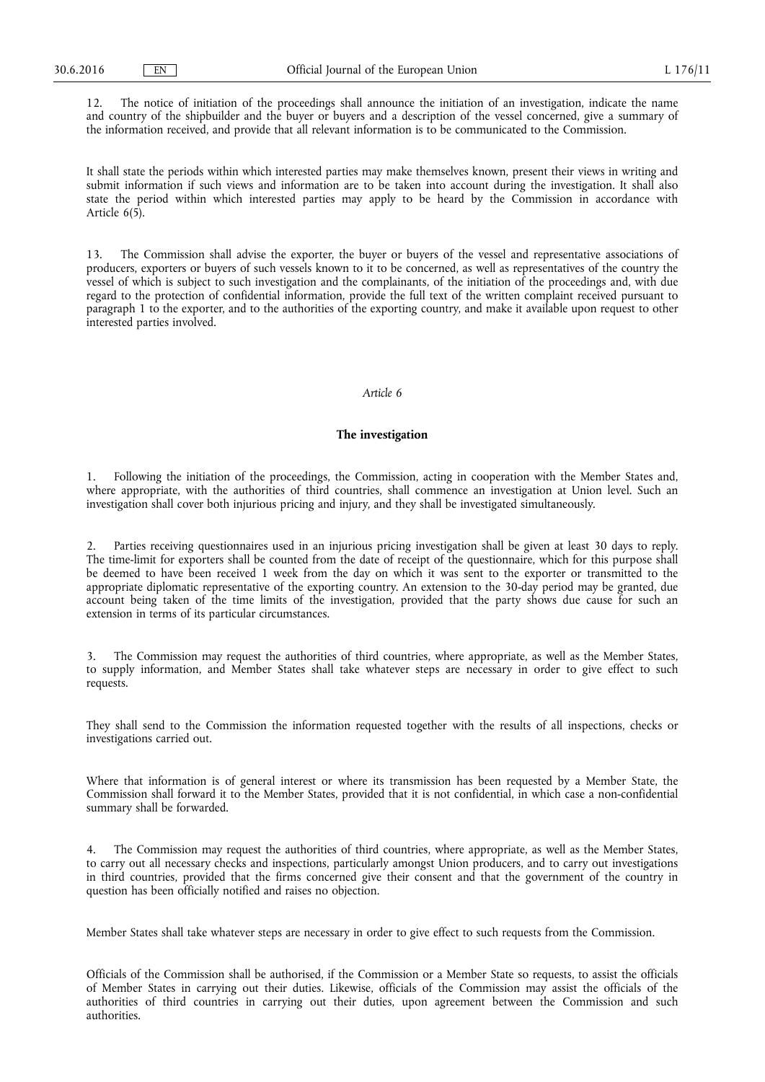12. The notice of initiation of the proceedings shall announce the initiation of an investigation, indicate the name and country of the shipbuilder and the buyer or buyers and a description of the vessel concerned, give a summary of the information received, and provide that all relevant information is to be communicated to the Commission.

It shall state the periods within which interested parties may make themselves known, present their views in writing and submit information if such views and information are to be taken into account during the investigation. It shall also state the period within which interested parties may apply to be heard by the Commission in accordance with Article 6(5).

13. The Commission shall advise the exporter, the buyer or buyers of the vessel and representative associations of producers, exporters or buyers of such vessels known to it to be concerned, as well as representatives of the country the vessel of which is subject to such investigation and the complainants, of the initiation of the proceedings and, with due regard to the protection of confidential information, provide the full text of the written complaint received pursuant to paragraph 1 to the exporter, and to the authorities of the exporting country, and make it available upon request to other interested parties involved.

# *Article 6*

#### **The investigation**

1. Following the initiation of the proceedings, the Commission, acting in cooperation with the Member States and, where appropriate, with the authorities of third countries, shall commence an investigation at Union level. Such an investigation shall cover both injurious pricing and injury, and they shall be investigated simultaneously.

Parties receiving questionnaires used in an injurious pricing investigation shall be given at least 30 days to reply. The time-limit for exporters shall be counted from the date of receipt of the questionnaire, which for this purpose shall be deemed to have been received 1 week from the day on which it was sent to the exporter or transmitted to the appropriate diplomatic representative of the exporting country. An extension to the 30-day period may be granted, due account being taken of the time limits of the investigation, provided that the party shows due cause for such an extension in terms of its particular circumstances.

The Commission may request the authorities of third countries, where appropriate, as well as the Member States, to supply information, and Member States shall take whatever steps are necessary in order to give effect to such requests.

They shall send to the Commission the information requested together with the results of all inspections, checks or investigations carried out.

Where that information is of general interest or where its transmission has been requested by a Member State, the Commission shall forward it to the Member States, provided that it is not confidential, in which case a non-confidential summary shall be forwarded.

The Commission may request the authorities of third countries, where appropriate, as well as the Member States, to carry out all necessary checks and inspections, particularly amongst Union producers, and to carry out investigations in third countries, provided that the firms concerned give their consent and that the government of the country in question has been officially notified and raises no objection.

Member States shall take whatever steps are necessary in order to give effect to such requests from the Commission.

Officials of the Commission shall be authorised, if the Commission or a Member State so requests, to assist the officials of Member States in carrying out their duties. Likewise, officials of the Commission may assist the officials of the authorities of third countries in carrying out their duties, upon agreement between the Commission and such authorities.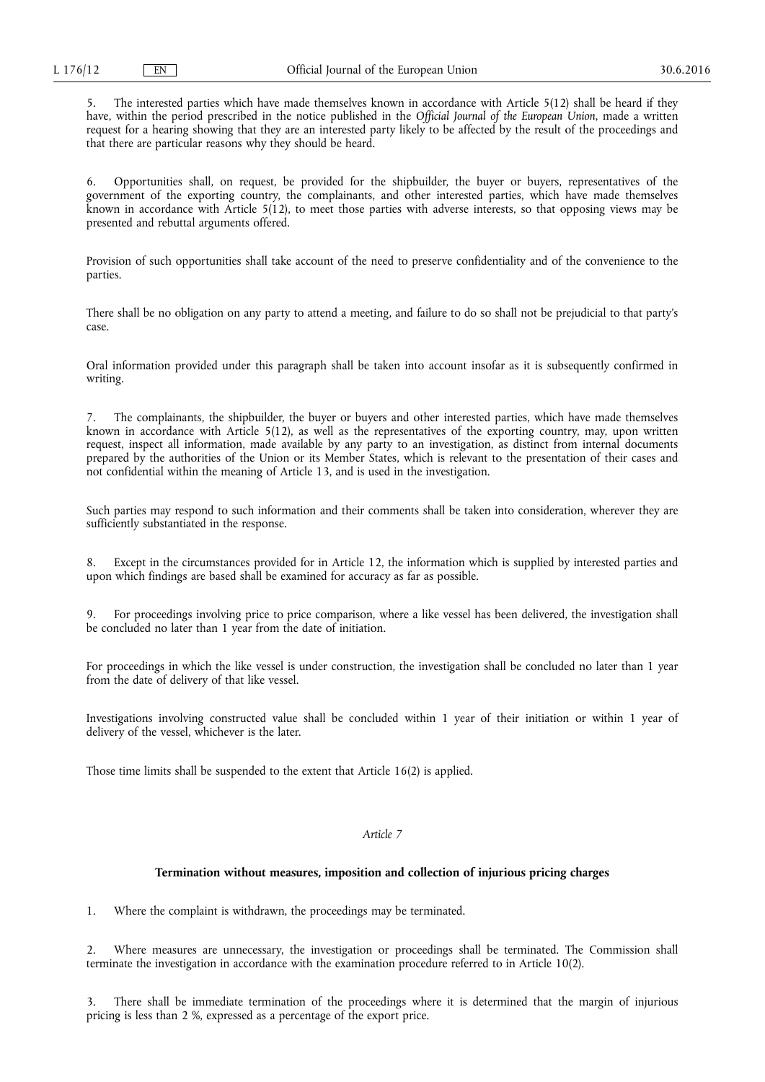5. The interested parties which have made themselves known in accordance with Article 5(12) shall be heard if they have, within the period prescribed in the notice published in the *Official Journal of the European Union*, made a written request for a hearing showing that they are an interested party likely to be affected by the result of the proceedings and that there are particular reasons why they should be heard.

6. Opportunities shall, on request, be provided for the shipbuilder, the buyer or buyers, representatives of the government of the exporting country, the complainants, and other interested parties, which have made themselves known in accordance with Article  $5(12)$ , to meet those parties with adverse interests, so that opposing views may be presented and rebuttal arguments offered.

Provision of such opportunities shall take account of the need to preserve confidentiality and of the convenience to the parties.

There shall be no obligation on any party to attend a meeting, and failure to do so shall not be prejudicial to that party's case.

Oral information provided under this paragraph shall be taken into account insofar as it is subsequently confirmed in writing.

The complainants, the shipbuilder, the buyer or buyers and other interested parties, which have made themselves known in accordance with Article 5(12), as well as the representatives of the exporting country, may, upon written request, inspect all information, made available by any party to an investigation, as distinct from internal documents prepared by the authorities of the Union or its Member States, which is relevant to the presentation of their cases and not confidential within the meaning of Article 13, and is used in the investigation.

Such parties may respond to such information and their comments shall be taken into consideration, wherever they are sufficiently substantiated in the response.

8. Except in the circumstances provided for in Article 12, the information which is supplied by interested parties and upon which findings are based shall be examined for accuracy as far as possible.

9. For proceedings involving price to price comparison, where a like vessel has been delivered, the investigation shall be concluded no later than 1 year from the date of initiation.

For proceedings in which the like vessel is under construction, the investigation shall be concluded no later than 1 year from the date of delivery of that like vessel.

Investigations involving constructed value shall be concluded within 1 year of their initiation or within 1 year of delivery of the vessel, whichever is the later.

Those time limits shall be suspended to the extent that Article 16(2) is applied.

# *Article 7*

#### **Termination without measures, imposition and collection of injurious pricing charges**

1. Where the complaint is withdrawn, the proceedings may be terminated.

2. Where measures are unnecessary, the investigation or proceedings shall be terminated. The Commission shall terminate the investigation in accordance with the examination procedure referred to in Article 10(2).

There shall be immediate termination of the proceedings where it is determined that the margin of injurious pricing is less than 2 %, expressed as a percentage of the export price.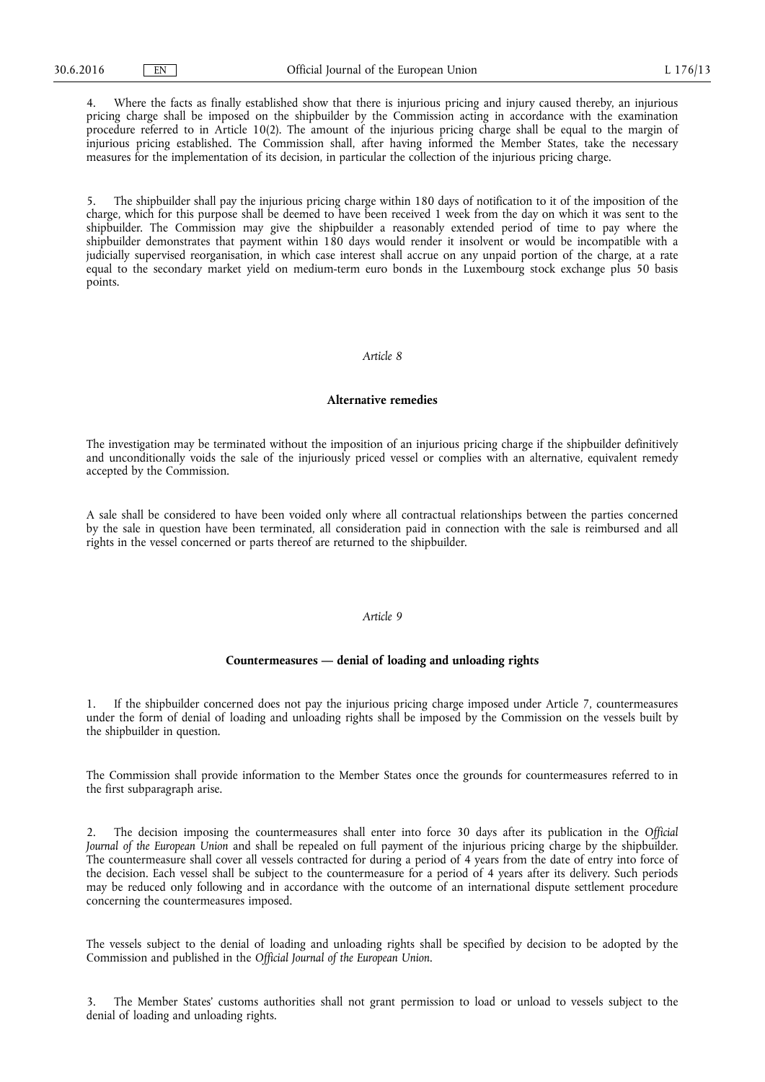4. Where the facts as finally established show that there is injurious pricing and injury caused thereby, an injurious pricing charge shall be imposed on the shipbuilder by the Commission acting in accordance with the examination procedure referred to in Article 10(2). The amount of the injurious pricing charge shall be equal to the margin of injurious pricing established. The Commission shall, after having informed the Member States, take the necessary measures for the implementation of its decision, in particular the collection of the injurious pricing charge.

5. The shipbuilder shall pay the injurious pricing charge within 180 days of notification to it of the imposition of the charge, which for this purpose shall be deemed to have been received 1 week from the day on which it was sent to the shipbuilder. The Commission may give the shipbuilder a reasonably extended period of time to pay where the shipbuilder demonstrates that payment within 180 days would render it insolvent or would be incompatible with a judicially supervised reorganisation, in which case interest shall accrue on any unpaid portion of the charge, at a rate equal to the secondary market yield on medium-term euro bonds in the Luxembourg stock exchange plus 50 basis points.

#### *Article 8*

#### **Alternative remedies**

The investigation may be terminated without the imposition of an injurious pricing charge if the shipbuilder definitively and unconditionally voids the sale of the injuriously priced vessel or complies with an alternative, equivalent remedy accepted by the Commission.

A sale shall be considered to have been voided only where all contractual relationships between the parties concerned by the sale in question have been terminated, all consideration paid in connection with the sale is reimbursed and all rights in the vessel concerned or parts thereof are returned to the shipbuilder.

#### *Article 9*

#### **Countermeasures — denial of loading and unloading rights**

1. If the shipbuilder concerned does not pay the injurious pricing charge imposed under Article 7, countermeasures under the form of denial of loading and unloading rights shall be imposed by the Commission on the vessels built by the shipbuilder in question.

The Commission shall provide information to the Member States once the grounds for countermeasures referred to in the first subparagraph arise.

2. The decision imposing the countermeasures shall enter into force 30 days after its publication in the *Official Journal of the European Union* and shall be repealed on full payment of the injurious pricing charge by the shipbuilder. The countermeasure shall cover all vessels contracted for during a period of 4 years from the date of entry into force of the decision. Each vessel shall be subject to the countermeasure for a period of 4 years after its delivery. Such periods may be reduced only following and in accordance with the outcome of an international dispute settlement procedure concerning the countermeasures imposed.

The vessels subject to the denial of loading and unloading rights shall be specified by decision to be adopted by the Commission and published in the *Official Journal of the European Union*.

3. The Member States' customs authorities shall not grant permission to load or unload to vessels subject to the denial of loading and unloading rights.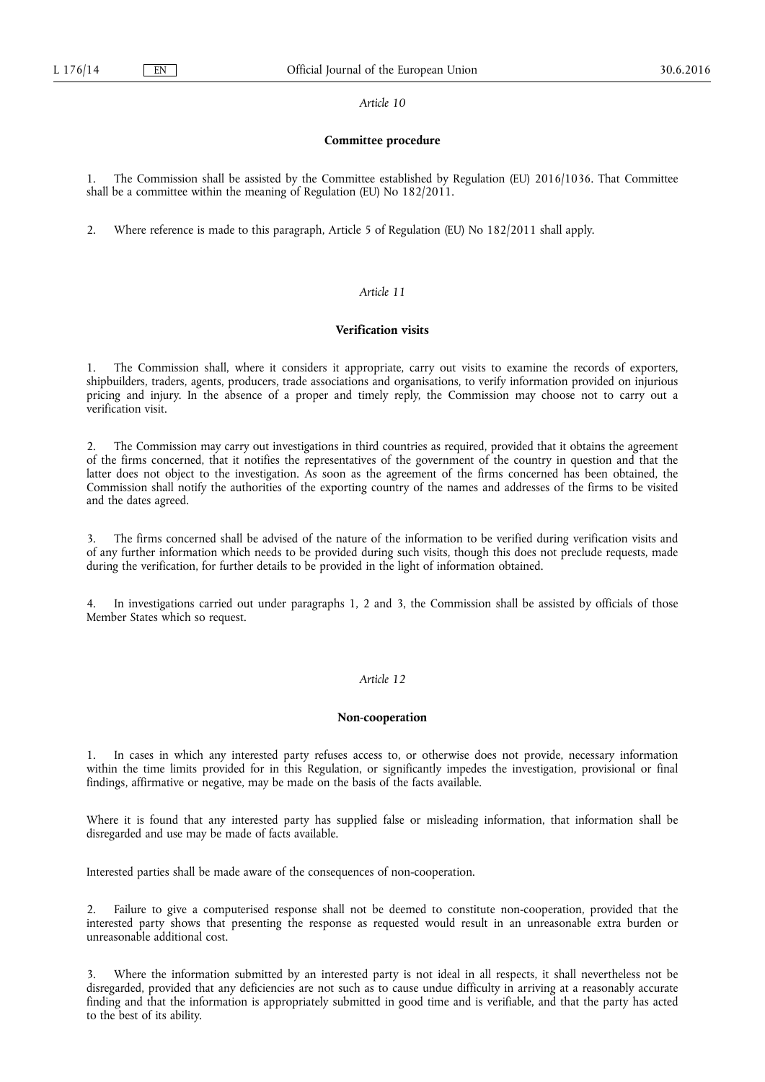#### *Article 10*

#### **Committee procedure**

1. The Commission shall be assisted by the Committee established by Regulation (EU) 2016/1036. That Committee shall be a committee within the meaning of Regulation (EU) No 182/2011.

2. Where reference is made to this paragraph, Article 5 of Regulation (EU) No 182/2011 shall apply.

# *Article 11*

# **Verification visits**

1. The Commission shall, where it considers it appropriate, carry out visits to examine the records of exporters, shipbuilders, traders, agents, producers, trade associations and organisations, to verify information provided on injurious pricing and injury. In the absence of a proper and timely reply, the Commission may choose not to carry out a verification visit.

2. The Commission may carry out investigations in third countries as required, provided that it obtains the agreement of the firms concerned, that it notifies the representatives of the government of the country in question and that the latter does not object to the investigation. As soon as the agreement of the firms concerned has been obtained, the Commission shall notify the authorities of the exporting country of the names and addresses of the firms to be visited and the dates agreed.

3. The firms concerned shall be advised of the nature of the information to be verified during verification visits and of any further information which needs to be provided during such visits, though this does not preclude requests, made during the verification, for further details to be provided in the light of information obtained.

In investigations carried out under paragraphs 1, 2 and 3, the Commission shall be assisted by officials of those Member States which so request.

# *Article 12*

# **Non-cooperation**

1. In cases in which any interested party refuses access to, or otherwise does not provide, necessary information within the time limits provided for in this Regulation, or significantly impedes the investigation, provisional or final findings, affirmative or negative, may be made on the basis of the facts available.

Where it is found that any interested party has supplied false or misleading information, that information shall be disregarded and use may be made of facts available.

Interested parties shall be made aware of the consequences of non-cooperation.

2. Failure to give a computerised response shall not be deemed to constitute non-cooperation, provided that the interested party shows that presenting the response as requested would result in an unreasonable extra burden or unreasonable additional cost.

3. Where the information submitted by an interested party is not ideal in all respects, it shall nevertheless not be disregarded, provided that any deficiencies are not such as to cause undue difficulty in arriving at a reasonably accurate finding and that the information is appropriately submitted in good time and is verifiable, and that the party has acted to the best of its ability.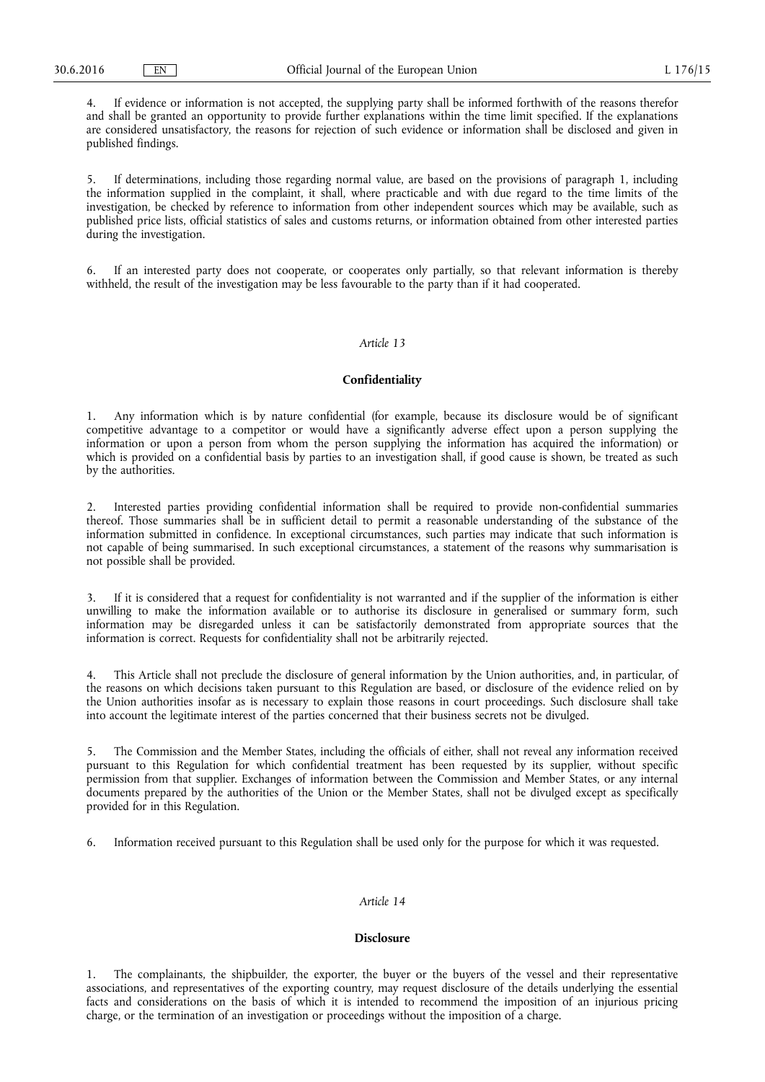4. If evidence or information is not accepted, the supplying party shall be informed forthwith of the reasons therefor and shall be granted an opportunity to provide further explanations within the time limit specified. If the explanations are considered unsatisfactory, the reasons for rejection of such evidence or information shall be disclosed and given in published findings.

5. If determinations, including those regarding normal value, are based on the provisions of paragraph 1, including the information supplied in the complaint, it shall, where practicable and with due regard to the time limits of the investigation, be checked by reference to information from other independent sources which may be available, such as published price lists, official statistics of sales and customs returns, or information obtained from other interested parties during the investigation.

6. If an interested party does not cooperate, or cooperates only partially, so that relevant information is thereby withheld, the result of the investigation may be less favourable to the party than if it had cooperated.

# *Article 13*

# **Confidentiality**

1. Any information which is by nature confidential (for example, because its disclosure would be of significant competitive advantage to a competitor or would have a significantly adverse effect upon a person supplying the information or upon a person from whom the person supplying the information has acquired the information) or which is provided on a confidential basis by parties to an investigation shall, if good cause is shown, be treated as such by the authorities.

2. Interested parties providing confidential information shall be required to provide non-confidential summaries thereof. Those summaries shall be in sufficient detail to permit a reasonable understanding of the substance of the information submitted in confidence. In exceptional circumstances, such parties may indicate that such information is not capable of being summarised. In such exceptional circumstances, a statement of the reasons why summarisation is not possible shall be provided.

3. If it is considered that a request for confidentiality is not warranted and if the supplier of the information is either unwilling to make the information available or to authorise its disclosure in generalised or summary form, such information may be disregarded unless it can be satisfactorily demonstrated from appropriate sources that the information is correct. Requests for confidentiality shall not be arbitrarily rejected.

4. This Article shall not preclude the disclosure of general information by the Union authorities, and, in particular, of the reasons on which decisions taken pursuant to this Regulation are based, or disclosure of the evidence relied on by the Union authorities insofar as is necessary to explain those reasons in court proceedings. Such disclosure shall take into account the legitimate interest of the parties concerned that their business secrets not be divulged.

5. The Commission and the Member States, including the officials of either, shall not reveal any information received pursuant to this Regulation for which confidential treatment has been requested by its supplier, without specific permission from that supplier. Exchanges of information between the Commission and Member States, or any internal documents prepared by the authorities of the Union or the Member States, shall not be divulged except as specifically provided for in this Regulation.

6. Information received pursuant to this Regulation shall be used only for the purpose for which it was requested.

#### *Article 14*

# **Disclosure**

1. The complainants, the shipbuilder, the exporter, the buyer or the buyers of the vessel and their representative associations, and representatives of the exporting country, may request disclosure of the details underlying the essential facts and considerations on the basis of which it is intended to recommend the imposition of an injurious pricing charge, or the termination of an investigation or proceedings without the imposition of a charge.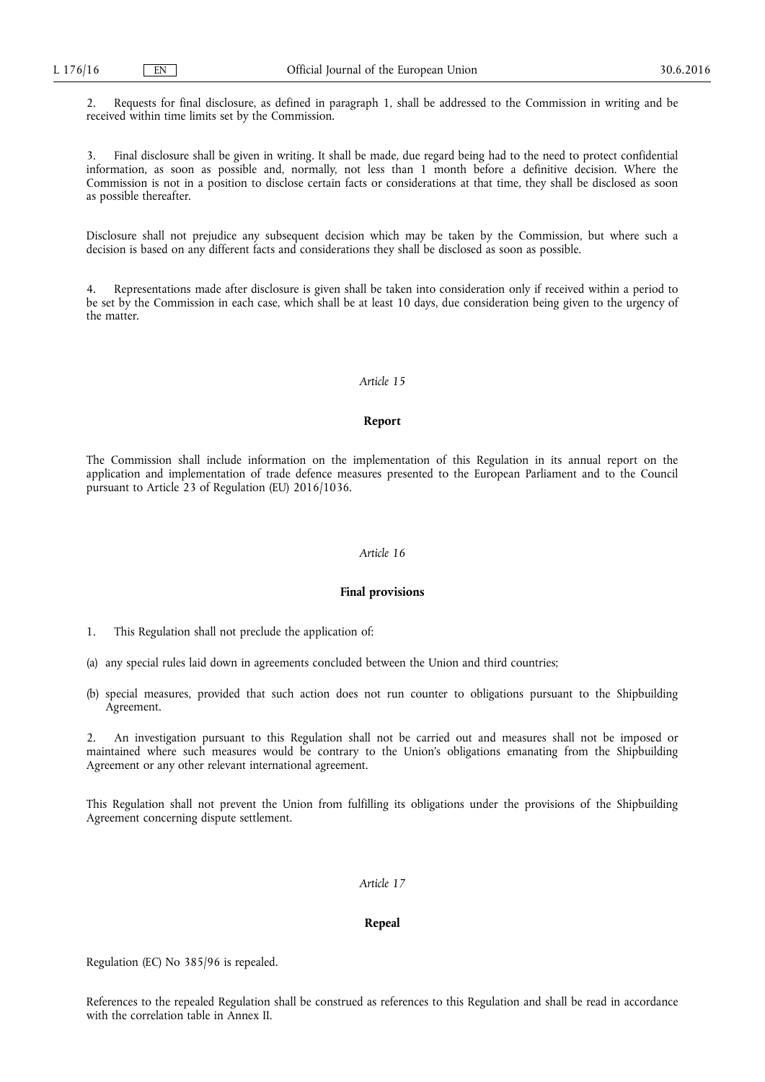2. Requests for final disclosure, as defined in paragraph 1, shall be addressed to the Commission in writing and be received within time limits set by the Commission.

3. Final disclosure shall be given in writing. It shall be made, due regard being had to the need to protect confidential information, as soon as possible and, normally, not less than 1 month before a definitive decision. Where the Commission is not in a position to disclose certain facts or considerations at that time, they shall be disclosed as soon as possible thereafter.

Disclosure shall not prejudice any subsequent decision which may be taken by the Commission, but where such a decision is based on any different facts and considerations they shall be disclosed as soon as possible.

4. Representations made after disclosure is given shall be taken into consideration only if received within a period to be set by the Commission in each case, which shall be at least 10 days, due consideration being given to the urgency of the matter.

# *Article 15*

#### **Report**

The Commission shall include information on the implementation of this Regulation in its annual report on the application and implementation of trade defence measures presented to the European Parliament and to the Council pursuant to Article 23 of Regulation (EU) 2016/1036.

#### *Article 16*

#### **Final provisions**

- 1. This Regulation shall not preclude the application of:
- (a) any special rules laid down in agreements concluded between the Union and third countries;
- (b) special measures, provided that such action does not run counter to obligations pursuant to the Shipbuilding Agreement.

2. An investigation pursuant to this Regulation shall not be carried out and measures shall not be imposed or maintained where such measures would be contrary to the Union's obligations emanating from the Shipbuilding Agreement or any other relevant international agreement.

This Regulation shall not prevent the Union from fulfilling its obligations under the provisions of the Shipbuilding Agreement concerning dispute settlement.

# *Article 17*

#### **Repeal**

Regulation (EC) No 385/96 is repealed.

References to the repealed Regulation shall be construed as references to this Regulation and shall be read in accordance with the correlation table in Annex II.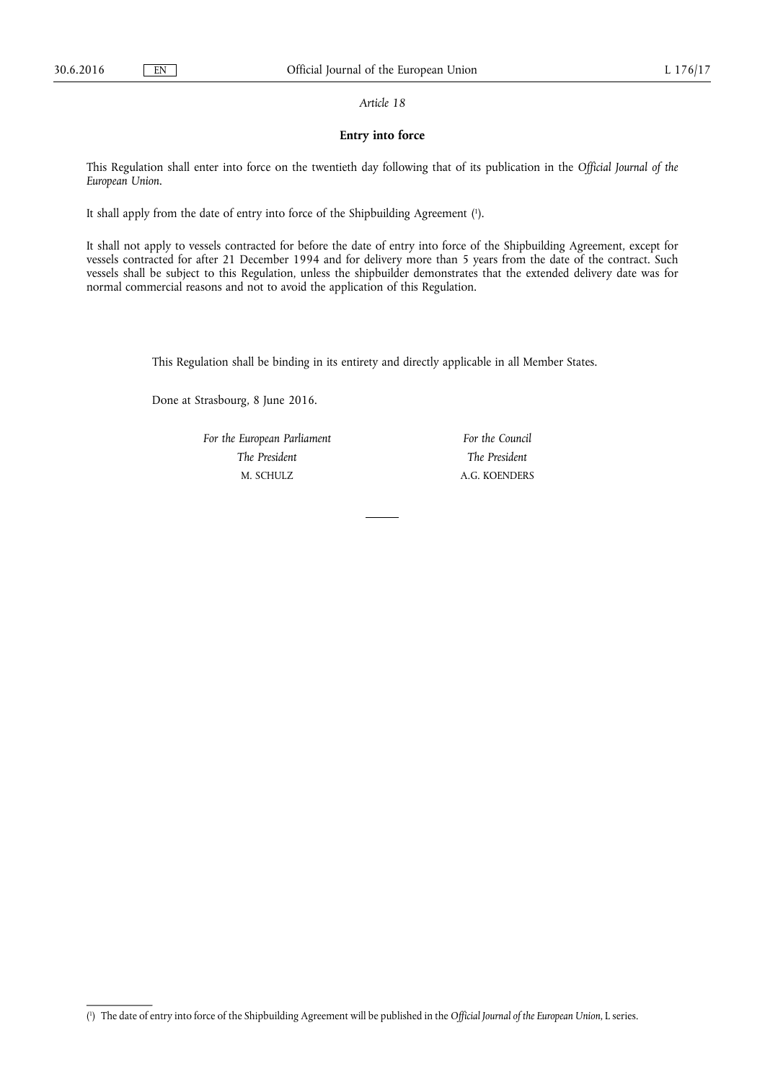#### *Article 18*

# **Entry into force**

This Regulation shall enter into force on the twentieth day following that of its publication in the *Official Journal of the European Union*.

It shall apply from the date of entry into force of the Shipbuilding Agreement ( 1 ).

It shall not apply to vessels contracted for before the date of entry into force of the Shipbuilding Agreement, except for vessels contracted for after 21 December 1994 and for delivery more than 5 years from the date of the contract. Such vessels shall be subject to this Regulation, unless the shipbuilder demonstrates that the extended delivery date was for normal commercial reasons and not to avoid the application of this Regulation.

This Regulation shall be binding in its entirety and directly applicable in all Member States.

Done at Strasbourg, 8 June 2016.

*For the European Parliament The President*  M. SCHULZ

*For the Council The President*  A.G. KOENDERS

<sup>(</sup> 1 ) The date of entry into force of the Shipbuilding Agreement will be published in the *Official Journal of the European Union*, L series.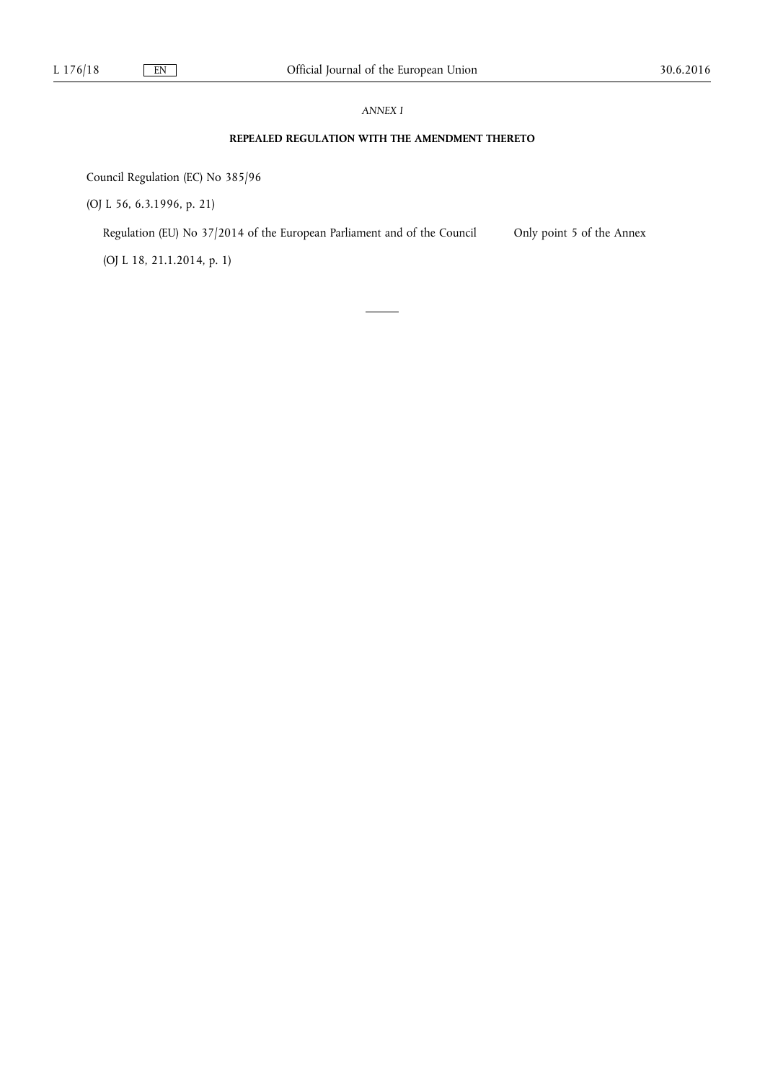# *ANNEX I*

# **REPEALED REGULATION WITH THE AMENDMENT THERETO**

Council Regulation (EC) No 385/96

(OJ L 56, 6.3.1996, p. 21)

Regulation (EU) No 37/2014 of the European Parliament and of the Council Only point 5 of the Annex

(OJ L 18, 21.1.2014, p. 1)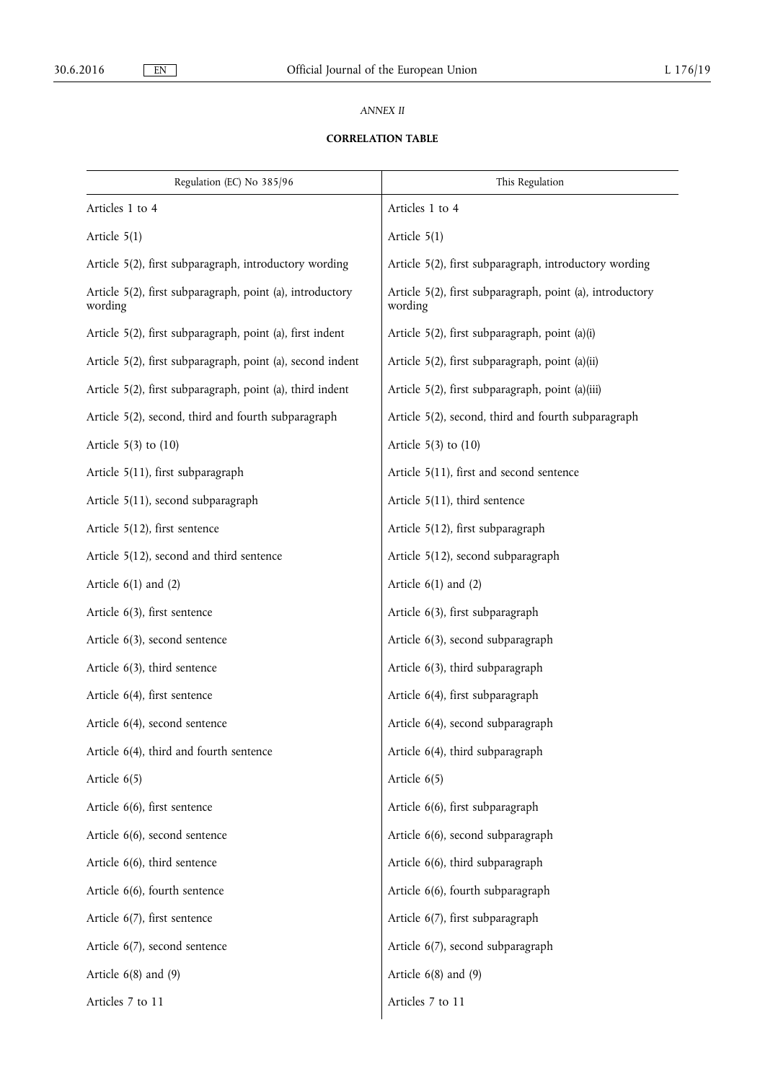# *ANNEX II*

# **CORRELATION TABLE**

| Regulation (EC) No 385/96                                            | This Regulation                                                      |
|----------------------------------------------------------------------|----------------------------------------------------------------------|
| Articles 1 to 4                                                      | Articles 1 to 4                                                      |
| Article $5(1)$                                                       | Article $5(1)$                                                       |
| Article 5(2), first subparagraph, introductory wording               | Article 5(2), first subparagraph, introductory wording               |
| Article 5(2), first subparagraph, point (a), introductory<br>wording | Article 5(2), first subparagraph, point (a), introductory<br>wording |
| Article 5(2), first subparagraph, point (a), first indent            | Article 5(2), first subparagraph, point (a)(i)                       |
| Article 5(2), first subparagraph, point (a), second indent           | Article 5(2), first subparagraph, point (a)(ii)                      |
| Article 5(2), first subparagraph, point (a), third indent            | Article 5(2), first subparagraph, point (a)(iii)                     |
| Article 5(2), second, third and fourth subparagraph                  | Article 5(2), second, third and fourth subparagraph                  |
| Article $5(3)$ to $(10)$                                             | Article $5(3)$ to $(10)$                                             |
| Article 5(11), first subparagraph                                    | Article 5(11), first and second sentence                             |
| Article 5(11), second subparagraph                                   | Article 5(11), third sentence                                        |
| Article 5(12), first sentence                                        | Article 5(12), first subparagraph                                    |
| Article 5(12), second and third sentence                             | Article 5(12), second subparagraph                                   |
| Article $6(1)$ and $(2)$                                             | Article $6(1)$ and $(2)$                                             |
| Article 6(3), first sentence                                         | Article 6(3), first subparagraph                                     |
| Article 6(3), second sentence                                        | Article 6(3), second subparagraph                                    |
| Article $6(3)$ , third sentence                                      | Article 6(3), third subparagraph                                     |
| Article 6(4), first sentence                                         | Article 6(4), first subparagraph                                     |
| Article 6(4), second sentence                                        | Article 6(4), second subparagraph                                    |
| Article 6(4), third and fourth sentence                              | Article 6(4), third subparagraph                                     |
| Article $6(5)$                                                       | Article 6(5)                                                         |
| Article 6(6), first sentence                                         | Article 6(6), first subparagraph                                     |
| Article 6(6), second sentence                                        | Article 6(6), second subparagraph                                    |
| Article 6(6), third sentence                                         | Article 6(6), third subparagraph                                     |
| Article 6(6), fourth sentence                                        | Article 6(6), fourth subparagraph                                    |
| Article 6(7), first sentence                                         | Article 6(7), first subparagraph                                     |
| Article 6(7), second sentence                                        | Article 6(7), second subparagraph                                    |
| Article $6(8)$ and $(9)$                                             | Article $6(8)$ and $(9)$                                             |
| Articles 7 to 11                                                     | Articles 7 to 11                                                     |